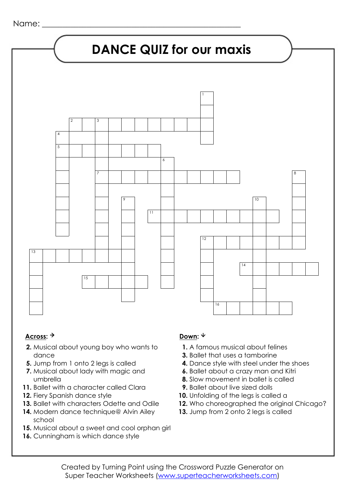

### Across: <sup>→</sup> Down: <sup>↓</sup>

- **2.** Musical about young boy who wants to dance
- **5.** Jump from 1 onto 2 legs is called
- **7.** Musical about lady with magic and umbrella
- **11.** Ballet with a character called Clara
- **12.** Fiery Spanish dance style
- **13.** Ballet with characters Odette and Odile
- **14.** Modern dance technique@ Alvin Ailey school
- **15.** Musical about a sweet and cool orphan girl
- **16.** Cunningham is which dance style

- **1.** A famous musical about felines
- **3.** Ballet that uses a tamborine
- **4.** Dance style with steel under the shoes
- **6.** Ballet about a crazy man and Kitri
- **8.** Slow movement in ballet is called
- **9.** Ballet about live sized dolls
- **10.** Unfolding of the legs is called a
- **12.** Who choreographed the original Chicago?
- 13. Jump from 2 onto 2 legs is called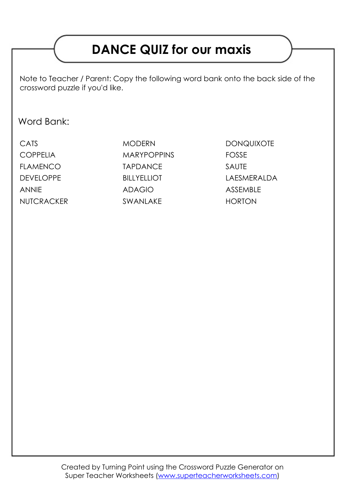# **DANCE QUIZ for our maxis**

Note to Teacher / Parent: Copy the following word bank onto the back side of the crossword puzzle if you'd like.

### Word Bank:

| CATS             |
|------------------|
| <b>COPPELIA</b>  |
| <b>FLAMENCO</b>  |
| <b>DEVELOPPE</b> |
| <b>ANNIE</b>     |
| NUTCRACKER       |

MODERN DONQUIXOTE MARYPOPPINS FOSSE TAPDANCE SAUTE ANNIE ADAGIO ASSEMBLE SWANLAKE HORTON

BILLYELLIOT LAESMERALDA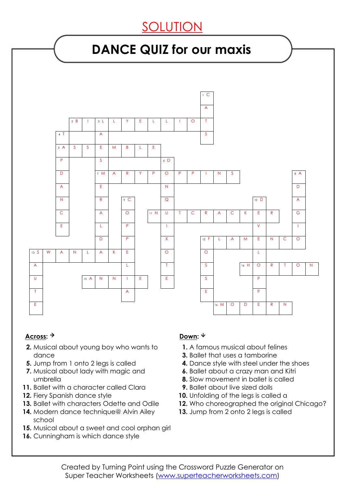## SOLUTION

## **DANCE QUIZ for our maxis**



#### Across: <sup>→</sup> Down: <sup>↓</sup>

- **2.** Musical about young boy who wants to dance
- **5.** Jump from 1 onto 2 legs is called
- **7.** Musical about lady with magic and umbrella
- **11.** Ballet with a character called Clara
- **12.** Fiery Spanish dance style
- **13.** Ballet with characters Odette and Odile
- **14.** Modern dance technique@ Alvin Ailey school
- **15.** Musical about a sweet and cool orphan girl
- 16. Cunningham is which dance style

- **1.** A famous musical about felines
- **3.** Ballet that uses a tamborine
- **4.** Dance style with steel under the shoes
- **6.** Ballet about a crazy man and Kitri
- **8.** Slow movement in ballet is called
- **9.** Ballet about live sized dolls
- **10.** Unfolding of the legs is called a
- **12.** Who choreographed the original Chicago?
- 13. Jump from 2 onto 2 legs is called